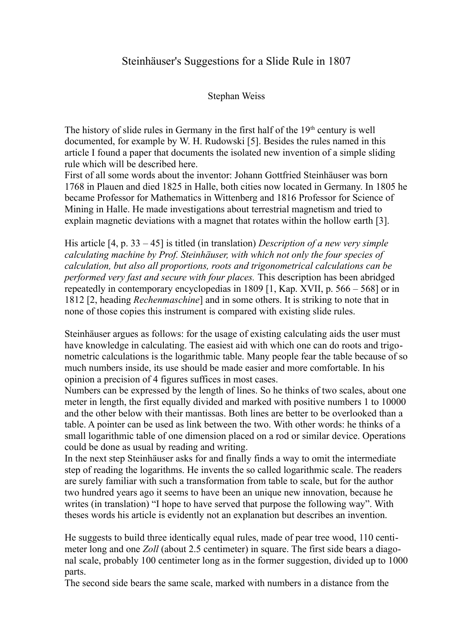## Steinhäuser's Suggestions for a Slide Rule in 1807

## Stephan Weiss

The history of slide rules in Germany in the first half of the  $19<sup>th</sup>$  century is well documented, for example by W. H. Rudowski [5]. Besides the rules named in this article I found a paper that documents the isolated new invention of a simple sliding rule which will be described here.

First of all some words about the inventor: Johann Gottfried Steinhäuser was born 1768 in Plauen and died 1825 in Halle, both cities now located in Germany. In 1805 he became Professor for Mathematics in Wittenberg and 1816 Professor for Science of Mining in Halle. He made investigations about terrestrial magnetism and tried to explain magnetic deviations with a magnet that rotates within the hollow earth [3].

His article [4, p. 33 – 45] is titled (in translation) *Description of a new very simple calculating machine by Prof. Steinhäuser, with which not only the four species of calculation, but also all proportions, roots and trigonometrical calculations can be performed very fast and secure with four places.* This description has been abridged repeatedly in contemporary encyclopedias in 1809 [1, Kap. XVII, p. 566 – 568] or in 1812 [2, heading *Rechenmaschine*] and in some others. It is striking to note that in none of those copies this instrument is compared with existing slide rules.

Steinhäuser argues as follows: for the usage of existing calculating aids the user must have knowledge in calculating. The easiest aid with which one can do roots and trigonometric calculations is the logarithmic table. Many people fear the table because of so much numbers inside, its use should be made easier and more comfortable. In his opinion a precision of 4 figures suffices in most cases.

Numbers can be expressed by the length of lines. So he thinks of two scales, about one meter in length, the first equally divided and marked with positive numbers 1 to 10000 and the other below with their mantissas. Both lines are better to be overlooked than a table. A pointer can be used as link between the two. With other words: he thinks of a small logarithmic table of one dimension placed on a rod or similar device. Operations could be done as usual by reading and writing.

In the next step Steinhäuser asks for and finally finds a way to omit the intermediate step of reading the logarithms. He invents the so called logarithmic scale. The readers are surely familiar with such a transformation from table to scale, but for the author two hundred years ago it seems to have been an unique new innovation, because he writes (in translation) "I hope to have served that purpose the following way". With theses words his article is evidently not an explanation but describes an invention.

He suggests to build three identically equal rules, made of pear tree wood, 110 centimeter long and one *Zoll* (about 2.5 centimeter) in square. The first side bears a diagonal scale, probably 100 centimeter long as in the former suggestion, divided up to 1000 parts.

The second side bears the same scale, marked with numbers in a distance from the